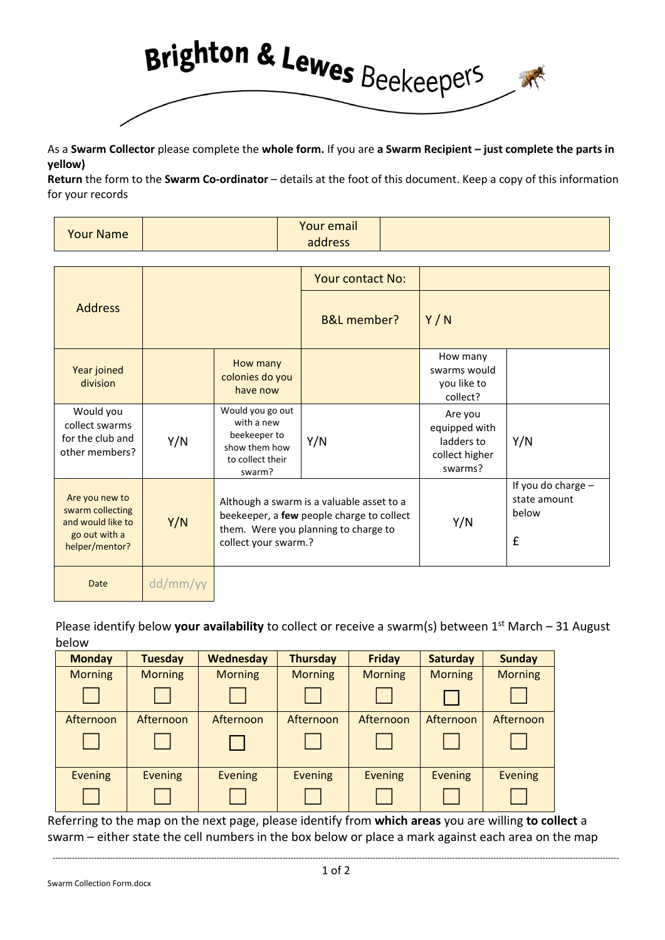

As a **Swarm Collector** please complete the **whole form.** If you are **a Swarm Recipient – just complete the parts in yellow)**

**Return** the form to the **Swarm Co-ordinator** – details at the foot of this document. Keep a copy of this information for your records

| <b>Your Name</b> | Your email |  |
|------------------|------------|--|
|                  | address    |  |

|                                                                                            |          |                                                                                                                                                        | <b>Your contact No:</b> |                                                                     |                                                  |
|--------------------------------------------------------------------------------------------|----------|--------------------------------------------------------------------------------------------------------------------------------------------------------|-------------------------|---------------------------------------------------------------------|--------------------------------------------------|
| <b>Address</b>                                                                             |          |                                                                                                                                                        | <b>B&amp;L</b> member?  | Y/N                                                                 |                                                  |
| Year joined<br>division                                                                    |          | How many<br>colonies do you<br>have now                                                                                                                |                         | How many<br>swarms would<br>you like to<br>collect?                 |                                                  |
| Would you<br>collect swarms<br>for the club and<br>other members?                          | Y/N      | Would you go out<br>with a new<br>beekeeper to<br>show them how<br>to collect their<br>swarm?                                                          | Y/N                     | Are you<br>equipped with<br>ladders to<br>collect higher<br>swarms? | Y/N                                              |
| Are you new to<br>swarm collecting<br>and would like to<br>go out with a<br>helper/mentor? | Y/N      | Although a swarm is a valuable asset to a<br>beekeeper, a few people charge to collect<br>them. Were you planning to charge to<br>collect your swarm.? |                         | Y/N                                                                 | If you do charge -<br>state amount<br>below<br>£ |
| <b>Date</b>                                                                                | dd/mm/yy |                                                                                                                                                        |                         |                                                                     |                                                  |

Please identify below **your availability** to collect or receive a swarm(s) between 1st March – 31 August below

| <b>Monday</b>  | <b>Tuesday</b> | Wednesday      | <b>Thursday</b> | <b>Friday</b>  | <b>Saturday</b> | <b>Sunday</b>  |
|----------------|----------------|----------------|-----------------|----------------|-----------------|----------------|
| <b>Morning</b> | <b>Morning</b> | <b>Morning</b> | <b>Morning</b>  | <b>Morning</b> | <b>Morning</b>  | <b>Morning</b> |
|                |                |                |                 |                |                 |                |
| Afternoon      | Afternoon      | Afternoon      | Afternoon       | Afternoon      | Afternoon       | Afternoon      |
|                |                |                |                 |                |                 |                |
| <b>Evening</b> | <b>Evening</b> | <b>Evening</b> | <b>Evening</b>  | <b>Evening</b> | <b>Evening</b>  | <b>Evening</b> |
|                |                |                |                 |                |                 |                |

Referring to the map on the next page, please identify from **which areas** you are willing **to collect** a swarm – either state the cell numbers in the box below or place a mark against each area on the map

Swarm Collection Form.docx